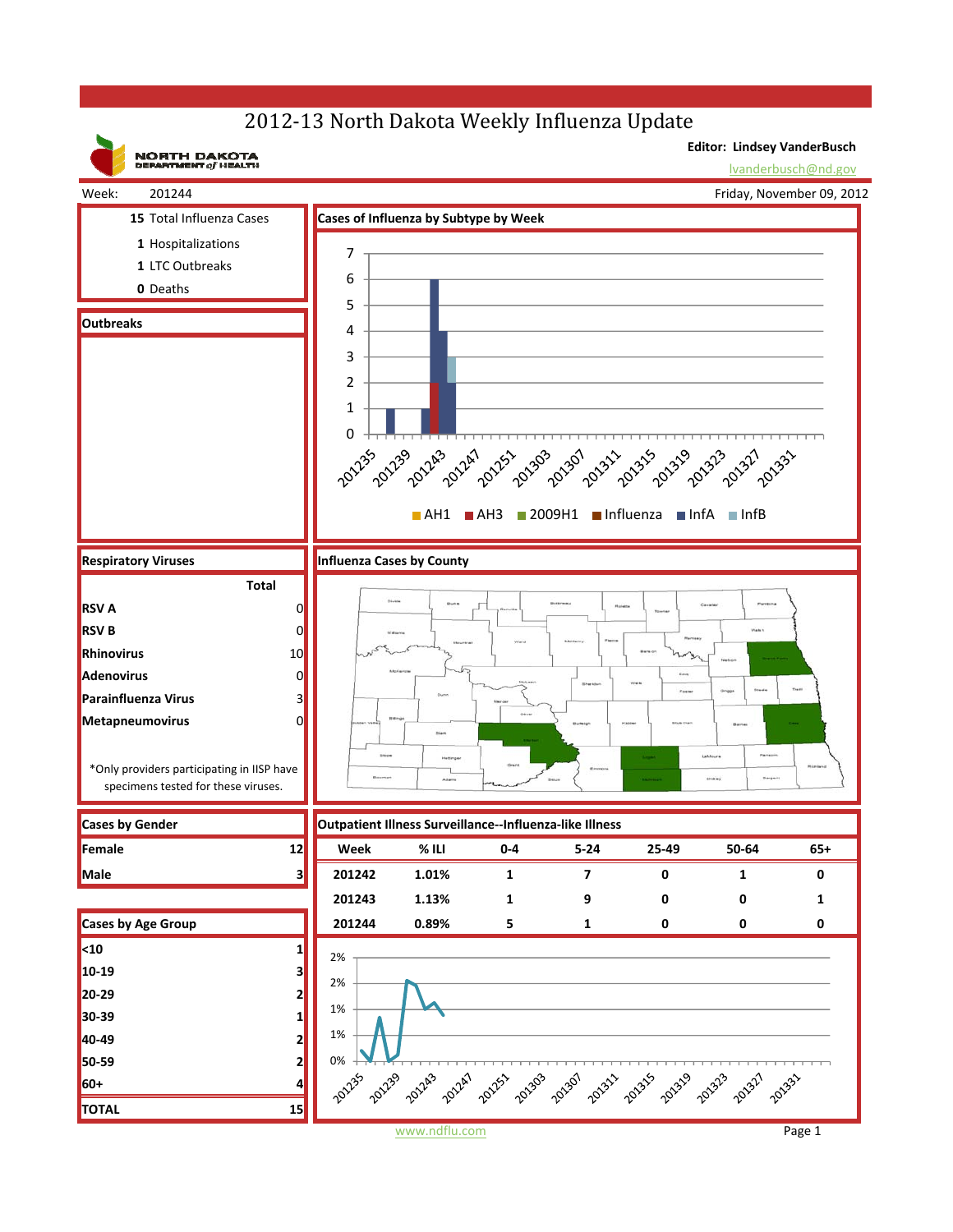## 2012-13 North Dakota Weekly Influenza Update